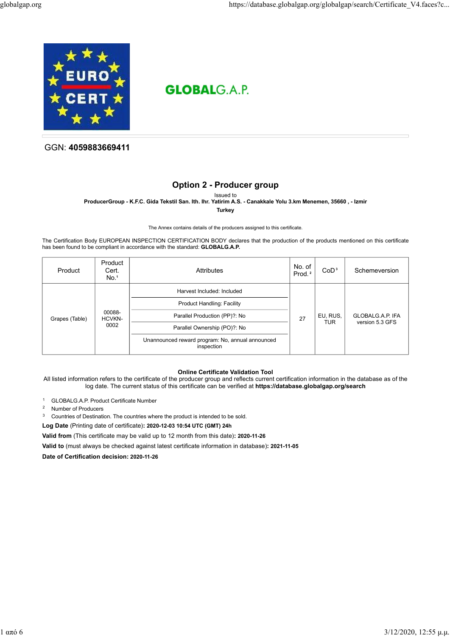

# **GLOBALGAP**

GGN: 4059883669411

## Option 2 - Producer group

Issued to ProducerGroup - K.F.C. Gida Tekstil San. Ith. Ihr. Yatirim A.S. - Canakkale Yolu 3.km Menemen, 35660 , - Izmir

**Turkey** 

The Annex contains details of the producers assigned to this certificate.

The Certification Body EUROPEAN INSPECTION CERTIFICATION BODY declares that the production of the products mentioned on this certificate has been found to be compliant in accordance with the standard: GLOBALG.A.P.

| Product                                    | Product<br>Cert.<br>No. <sup>1</sup> | Attributes                                                     | No. of $ $<br>Prod. <sup>2</sup> | CoD <sup>3</sup> | Schemeversion    |
|--------------------------------------------|--------------------------------------|----------------------------------------------------------------|----------------------------------|------------------|------------------|
|                                            |                                      | Harvest Included: Included                                     |                                  |                  |                  |
|                                            |                                      | <b>Product Handling: Facility</b>                              |                                  | EU, RUS,         | GLOBALG.A.P. IFA |
| 00088-<br>Grapes (Table)<br>HCVKN-<br>0002 |                                      | Parallel Production (PP)?: No                                  | 27                               |                  |                  |
|                                            | Parallel Ownership (PO)?: No         |                                                                | <b>TUR</b>                       | version 5.3 GFS  |                  |
|                                            |                                      | Unannounced reward program: No, annual announced<br>inspection |                                  |                  |                  |

#### Online Certificate Validation Tool

All listed information refers to the certificate of the producer group and reflects current certification information in the database as of the log date. The current status of this certificate can be verified at https://database.globalgap.org/search

- <sup>1</sup> GLOBALG.A.P. Product Certificate Number
- <sup>2</sup> Number of Producers
- <sup>3</sup> Countries of Destination. The countries where the product is intended to be sold.
- Log Date (Printing date of certificate): 2020-12-03 10:54 UTC (GMT) 24h

Valid from (This certificate may be valid up to 12 month from this date): 2020-11-26

Valid to (must always be checked against latest certificate information in database): 2021-11-05

Date of Certification decision: 2020-11-26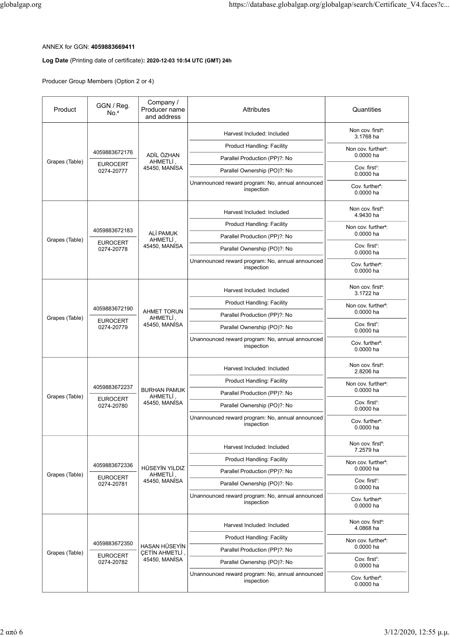## ANNEX for GGN: 4059883669411

### Log Date (Printing date of certificate): 2020-12-03 10:54 UTC (GMT) 24h

|                | ANNEX for GGN: 4059883669411<br>Log Date (Printing date of certificate): 2020-12-03 10:54 UTC (GMT) 24h<br>Producer Group Members (Option 2 or 4) | Company /                                             | https://database.globalgap.org/globalgap/search/Certificate V4.faces?c           |                                                       |
|----------------|---------------------------------------------------------------------------------------------------------------------------------------------------|-------------------------------------------------------|----------------------------------------------------------------------------------|-------------------------------------------------------|
| Product        | GGN / Reg.<br>No. <sup>4</sup>                                                                                                                    | Producer name<br>and address                          | Attributes                                                                       | Quantities                                            |
|                |                                                                                                                                                   |                                                       | Harvest Included: Included                                                       | Non cov. first <sup>5</sup> :<br>3.1768 ha            |
|                | 4059883672176                                                                                                                                     | ADİL ÖZHAN                                            | <b>Product Handling: Facility</b>                                                | Non cov. further <sup>6</sup> :<br>$0.0000$ ha        |
| Grapes (Table) | <b>EUROCERT</b><br>0274-20777                                                                                                                     | AHMETLİ,<br>45450, MANISA                             | Parallel Production (PP)?: No<br>Parallel Ownership (PO)?: No                    | Cov. first <sup>7</sup> :                             |
|                |                                                                                                                                                   |                                                       | Unannounced reward program: No, annual announced<br>inspection                   | 0.0000 ha<br>Cov. further <sup>8</sup> :<br>0.0000 ha |
|                |                                                                                                                                                   |                                                       | Harvest Included: Included                                                       | Non cov. first <sup>5</sup> :<br>4.9430 ha            |
|                |                                                                                                                                                   |                                                       | <b>Product Handling: Facility</b>                                                | Non cov. further <sup>6</sup> :                       |
| Grapes (Table) | 4059883672183<br><b>EUROCERT</b>                                                                                                                  | ALİ PAMUK<br>AHMETLİ,<br>45450, MANISA                | Parallel Production (PP)?: No                                                    | $0.0000$ ha                                           |
|                | 0274-20778                                                                                                                                        |                                                       | Parallel Ownership (PO)?: No                                                     | Cov. first <sup>7</sup> :<br>$0.0000$ ha              |
|                |                                                                                                                                                   |                                                       | Unannounced reward program: No, annual announced<br>inspection                   | Cov. further <sup>8</sup> :<br>$0.0000$ ha            |
|                |                                                                                                                                                   |                                                       | Harvest Included: Included                                                       | Non cov. first <sup>5</sup> :<br>3.1722 ha            |
|                | 4059883672190                                                                                                                                     |                                                       | <b>Product Handling: Facility</b>                                                | Non cov. further <sup>6</sup> :                       |
| Grapes (Table) | <b>EUROCERT</b>                                                                                                                                   | <b>AHMET TORUN</b><br><b>AHMETLİ</b><br>45450, MANISA | Parallel Production (PP)?: No                                                    | 0.0000 ha<br>Cov. first <sup>7</sup> :                |
|                | 0274-20779                                                                                                                                        |                                                       | Parallel Ownership (PO)?: No<br>Unannounced reward program: No, annual announced | $0.0000$ ha<br>Cov. further <sup>8</sup> :            |
|                |                                                                                                                                                   |                                                       | inspection                                                                       | 0.0000 ha                                             |
|                |                                                                                                                                                   |                                                       | Harvest Included: Included                                                       | Non cov. first <sup>5</sup> :<br>2.8206 ha            |
|                | 4059883672237                                                                                                                                     | <b>BURHAN PAMUK</b><br>AHMETLİ,<br>45450, MANISA      | <b>Product Handling: Facility</b><br>Parallel Production (PP)?: No               | Non cov. further <sup>6</sup> :<br>$0.0000$ ha        |
| Grapes (Table) | <b>EUROCERT</b><br>0274-20780                                                                                                                     |                                                       | Parallel Ownership (PO)?: No                                                     | Cov. first <sup>7</sup> :<br>$0.0000$ ha              |
|                |                                                                                                                                                   |                                                       | Unannounced reward program: No, annual announced<br>inspection                   | Cov. further <sup>®</sup> :<br>0.0000 ha              |
|                |                                                                                                                                                   |                                                       | Harvest Included: Included                                                       | Non cov. first <sup>5</sup> :<br>7.2579 ha            |
|                | 4059883672336                                                                                                                                     |                                                       | <b>Product Handling: Facility</b>                                                | Non cov. further <sup>6</sup> :                       |
| Grapes (Table) | <b>EUROCERT</b>                                                                                                                                   | HÜSEYİN YILDIZ<br>AHMETLİ,                            | Parallel Production (PP)?: No                                                    | 0.0000 ha                                             |
|                | 0274-20781                                                                                                                                        | 45450, MANISA                                         | Parallel Ownership (PO)?: No                                                     | Cov. first <sup>7</sup> :<br>$0.0000$ ha              |
|                |                                                                                                                                                   |                                                       | Unannounced reward program: No, annual announced<br>inspection                   | Cov. further <sup>8</sup> :<br>0.0000 ha              |
|                |                                                                                                                                                   |                                                       | Harvest Included: Included                                                       | Non cov. first <sup>5</sup> :<br>4.0868 ha            |
|                |                                                                                                                                                   |                                                       | <b>Product Handling: Facility</b>                                                | Non cov. further <sup>6</sup> :                       |
| Grapes (Table) | 4059883672350                                                                                                                                     | HASAN HÜSEYİN<br><b>ÇETİN AHMETLİ</b>                 | Parallel Production (PP)?: No                                                    | $0.0000$ ha                                           |
|                | <b>EUROCERT</b><br>0274-20782                                                                                                                     | 45450, MANISA                                         | Parallel Ownership (PO)?: No                                                     | Cov. first <sup>7</sup> :<br>$0.0000$ ha              |
|                |                                                                                                                                                   |                                                       | Unannounced reward program: No, annual announced<br>inspection                   | Cov. further <sup>8</sup> :<br>0.0000 ha              |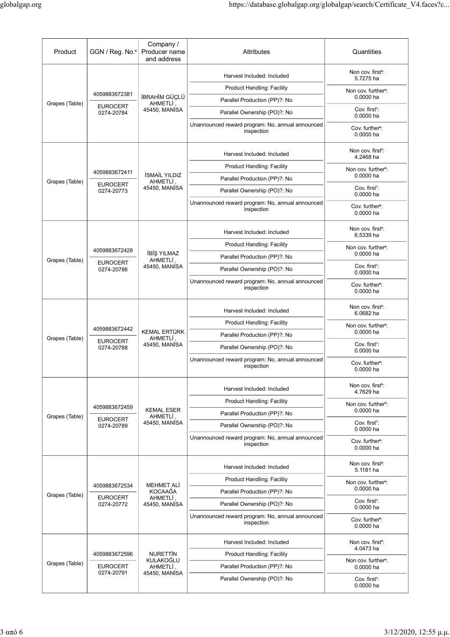| globalgap.org  |                                                |                                                    | https://database.globalgap.org/globalgap/search/Certificate V4.faces?c           |                                                |
|----------------|------------------------------------------------|----------------------------------------------------|----------------------------------------------------------------------------------|------------------------------------------------|
|                |                                                |                                                    |                                                                                  |                                                |
| Product        | GGN / Reg. No. <sup>4</sup> Producer name      | Company /<br>and address                           | Attributes                                                                       | Quantities                                     |
|                |                                                |                                                    | Harvest Included: Included                                                       | Non cov. first <sup>5</sup> :                  |
|                |                                                |                                                    | <b>Product Handling: Facility</b>                                                | 5.7275 ha                                      |
| Grapes (Table) | 4059883672381                                  | İBRAHİM GÜÇLÜ<br>AHMETLI,                          | Parallel Production (PP)?: No                                                    | Non cov. further <sup>6</sup> :<br>0.0000 ha   |
|                | <b>EUROCERT</b><br>0274-20784                  | 45450, MANISA                                      | Parallel Ownership (PO)?: No                                                     | Cov. first <sup>7</sup> :<br>0.0000 ha         |
|                |                                                |                                                    | Unannounced reward program: No, annual announced<br>inspection                   | Cov. further <sup>8</sup> :<br>0.0000 ha       |
|                |                                                |                                                    | Harvest Included: Included                                                       | Non cov. first <sup>5</sup> :<br>4.2468 ha     |
|                | 4059883672411<br><b>EUROCERT</b><br>0274-20773 | <b>İSMAİL YILDIZ</b><br>AHMETLİ.<br>45450, MANISA  | <b>Product Handling: Facility</b>                                                | Non cov. further <sup>6</sup> :                |
| Grapes (Table) |                                                |                                                    | Parallel Production (PP)?: No                                                    | 0.0000 ha                                      |
|                |                                                |                                                    | Parallel Ownership (PO)?: No                                                     | Cov. first <sup>7</sup> :<br>0.0000 ha         |
|                |                                                |                                                    | Unannounced reward program: No, annual announced<br>inspection                   | Cov. further <sup>8</sup> :<br>0.0000 ha       |
|                |                                                |                                                    | Harvest Included: Included                                                       | Non cov. first <sup>5</sup> :<br>6.5339 ha     |
|                |                                                |                                                    | <b>Product Handling: Facility</b>                                                | Non cov. further <sup>6</sup> :                |
| Grapes (Table) | 4059883672428                                  | İBİŞ YILMAZ<br>AHMETLİ,                            | Parallel Production (PP)?: No                                                    | 0.0000 ha                                      |
|                | <b>EUROCERT</b><br>0274-20786                  | 45450, MANISA                                      | Parallel Ownership (PO)?: No                                                     | Cov. first <sup>7</sup> :<br>0.0000 ha         |
|                |                                                |                                                    | Unannounced reward program: No, annual announced<br>inspection                   | Cov. further <sup>8</sup> :<br>0.0000 ha       |
|                |                                                |                                                    | Harvest Included: Included                                                       | Non cov. first <sup>5</sup> :<br>6.0682 ha     |
|                | 4059883672442                                  |                                                    | <b>Product Handling: Facility</b>                                                | Non cov. further <sup>6</sup> :                |
| Grapes (Table) | <b>EUROCERT</b>                                | <b>KEMAL ERTÜRK</b><br>AHMETLİ,                    | Parallel Production (PP)?: No                                                    | 0.0000 ha                                      |
|                | 0274-20788                                     | 45450, MANİSA                                      | Parallel Ownership (PO)?: No                                                     | Cov. first <sup>7</sup> :<br>0.0000 ha         |
|                |                                                |                                                    | Unannounced reward program: No, annual announced<br>inspection                   | Cov. further <sup>8</sup> :<br>0.0000 ha       |
|                |                                                |                                                    | Harvest Included: Included                                                       | Non cov. first <sup>5</sup> :<br>4.7629 ha     |
|                | 4059883672459<br><b>EUROCERT</b>               | <b>KEMAL ESER</b><br>AHMETLİ,                      | <b>Product Handling: Facility</b>                                                | Non cov. further <sup>6</sup> :                |
| Grapes (Table) |                                                |                                                    | Parallel Production (PP)?: No                                                    | 0.0000 ha                                      |
|                | 0274-20789                                     | 45450, MANISA                                      | Parallel Ownership (PO)?: No                                                     | Cov. first <sup>7</sup> :<br>0.0000 ha         |
|                |                                                |                                                    | Unannounced reward program: No, annual announced<br>inspection                   | Cov. further <sup>8</sup> :<br>0.0000 ha       |
|                |                                                |                                                    | Harvest Included: Included                                                       | Non cov. first <sup>5</sup> :<br>5.1181 ha     |
|                | 4059883672534                                  | MEHMET ALİ<br>KOCAAĞA<br>AHMETLI,<br>45450, MANISA | <b>Product Handling: Facility</b>                                                | Non cov. further <sup>6</sup> :                |
| Grapes (Table) | <b>EUROCERT</b>                                |                                                    | Parallel Production (PP)?: No                                                    | $0.0000$ ha<br>Cov. first <sup>7</sup> :       |
|                | 0274-20772                                     |                                                    | Parallel Ownership (PO)?: No<br>Unannounced reward program: No, annual announced | $0.0000$ ha<br>Cov. further <sup>8</sup> :     |
|                |                                                |                                                    | inspection                                                                       | $0.0000$ ha                                    |
|                | 4059883672596                                  | <b>NURETTIN</b>                                    | Harvest Included: Included<br><b>Product Handling: Facility</b>                  | Non cov. first <sup>5</sup> :<br>4.0473 ha     |
| Grapes (Table) | <b>EUROCERT</b>                                | KULAKOĞLU<br>AHMETLİ,                              | Parallel Production (PP)?: No                                                    | Non cov. further <sup>6</sup> :<br>$0.0000$ ha |
|                | 0274-20791                                     | 45450, MANISA                                      | Parallel Ownership (PO)?: No                                                     | Cov. first <sup>7</sup> :                      |
|                |                                                |                                                    |                                                                                  | $0.0000$ ha                                    |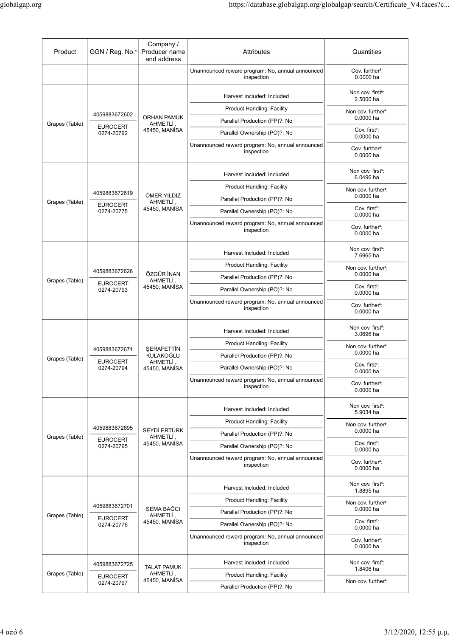|                |                                  |                                                | https://database.globalgap.org/globalgap/search/Certificate_V4.faces?c           |                                              |
|----------------|----------------------------------|------------------------------------------------|----------------------------------------------------------------------------------|----------------------------------------------|
|                |                                  |                                                |                                                                                  |                                              |
| Product        | GGN / Reg. No. <sup>4</sup>      | Company /<br>Producer name<br>and address      | Attributes                                                                       | Quantities                                   |
|                |                                  |                                                | Unannounced reward program: No, annual announced<br>inspection                   | Cov. further <sup>8</sup> :<br>0.0000 ha     |
|                |                                  |                                                | Harvest Included: Included                                                       | Non cov. first <sup>5</sup> :<br>2.5000 ha   |
|                | 4059883672602                    | <b>ORHAN PAMUK</b><br>AHMETLİ<br>45450, MANISA | <b>Product Handling: Facility</b>                                                | Non cov. further <sup>6</sup> :              |
| Grapes (Table) | <b>EUROCERT</b>                  |                                                | Parallel Production (PP)?: No                                                    | 0.0000 ha                                    |
|                | 0274-20792                       |                                                | Parallel Ownership (PO)?: No                                                     | Cov. first <sup>7</sup> :<br>0.0000 ha       |
|                |                                  |                                                | Unannounced reward program: No, annual announced<br>inspection                   | Cov. further <sup>8</sup> :<br>0.0000 ha     |
|                | 4059883672619<br><b>EUROCERT</b> | ÖMER YILDIZ<br>AHMETLİ,<br>45450, MANISA       | Harvest Included: Included                                                       | Non cov. first <sup>5</sup> :<br>6.0496 ha   |
| Grapes (Table) |                                  |                                                | <b>Product Handling: Facility</b>                                                | Non cov. further <sup>6</sup> :              |
|                |                                  |                                                | Parallel Production (PP)?: No                                                    | 0.0000 ha<br>Cov. first <sup>7</sup> :       |
|                | 0274-20775                       |                                                | Parallel Ownership (PO)?: No<br>Unannounced reward program: No, annual announced | 0.0000 ha                                    |
|                |                                  |                                                | inspection                                                                       | Cov. further <sup>8</sup> :<br>0.0000 ha     |
|                |                                  |                                                | Harvest Included: Included                                                       | Non cov. first <sup>5</sup> :<br>7.6965 ha   |
|                | 4059883672626                    |                                                | <b>Product Handling: Facility</b>                                                | Non cov. further <sup>6</sup> :              |
| Grapes (Table) | <b>EUROCERT</b>                  | ÖZGÜR İNAN<br>AHMETLİ,                         | Parallel Production (PP)?: No                                                    | 0.0000 ha                                    |
|                | 0274-20793                       | 45450, MANISA                                  | Parallel Ownership (PO)?: No                                                     | Cov. first <sup>7</sup> :<br>$0.0000$ ha     |
|                |                                  |                                                | Unannounced reward program: No, annual announced<br>inspection                   | Cov. further <sup>8</sup> :<br>0.0000 ha     |
|                |                                  |                                                | Harvest Included: Included                                                       | Non cov. first <sup>5</sup> :<br>3.0696 ha   |
|                | 4059883672671<br><b>EUROCERT</b> | ŞERAFETTİN<br>KULAKOĞLU<br>AHMETLİ,            | <b>Product Handling: Facility</b>                                                | Non cov. further <sup>6</sup> :              |
| Grapes (Table) |                                  |                                                | Parallel Production (PP)?: No                                                    | 0.0000 ha<br>Cov. first <sup>7</sup> :       |
|                | 0274-20794                       | 45450, MANISA                                  | Parallel Ownership (PO)?: No<br>Unannounced reward program: No, annual announced | 0.0000 ha                                    |
|                |                                  |                                                | inspection                                                                       | Cov. further <sup>8</sup> :<br>0.0000 ha     |
|                |                                  |                                                | Harvest Included: Included                                                       | Non cov. first <sup>5</sup> :<br>5.9034 ha   |
|                | 4059883672695                    | SEYDİ ERTÜRK<br>AHMETLİ,<br>45450, MANISA      | <b>Product Handling: Facility</b>                                                | Non cov. further <sup>6</sup> :<br>0.0000 ha |
| Grapes (Table) | <b>EUROCERT</b>                  |                                                | Parallel Production (PP)?: No<br>Parallel Ownership (PO)?: No                    | Cov. first <sup>7</sup> :                    |
|                | 0274-20795                       |                                                | Unannounced reward program: No, annual announced                                 | 0.0000 ha                                    |
|                |                                  |                                                | inspection                                                                       | Cov. further <sup>8</sup> :<br>$0.0000$ ha   |
|                |                                  |                                                | Harvest Included: Included                                                       | Non cov. first <sup>5</sup> :<br>1.8895 ha   |
|                | 4059883672701<br><b>EUROCERT</b> | SEMA BAĞCI<br>AHMETLİ,<br>45450, MANİSA        | <b>Product Handling: Facility</b>                                                | Non cov. further <sup>6</sup> :              |
| Grapes (Table) |                                  |                                                | Parallel Production (PP)?: No                                                    | 0.0000 ha                                    |
|                | 0274-20776                       |                                                | Parallel Ownership (PO)?: No                                                     | Cov. first <sup>7</sup> :<br>0.0000 ha       |
|                |                                  |                                                | Unannounced reward program: No, annual announced<br>inspection                   | Cov. further <sup>8</sup> :<br>0.0000 ha     |
|                | 4059883672725                    | <b>TALAT PAMUK</b>                             | Harvest Included: Included                                                       | Non cov. first <sup>5</sup> :                |
| Grapes (Table) | <b>EUROCERT</b>                  | AHMETLİ,<br>45450, MANİSA                      | <b>Product Handling: Facility</b>                                                | 1.8406 ha                                    |
|                | 0274-20797                       |                                                |                                                                                  | Non cov. further <sup>6</sup> :              |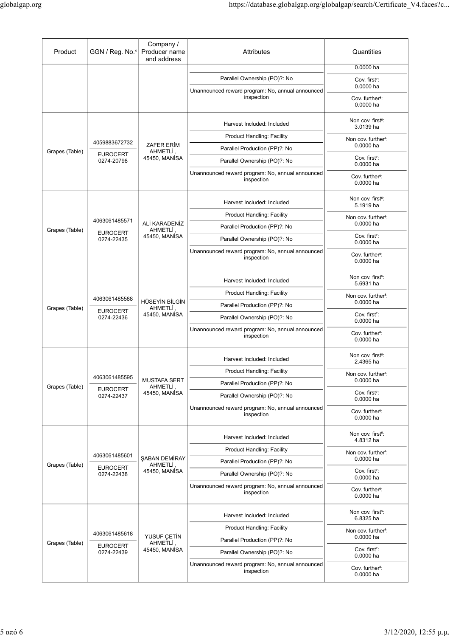|                |                                                |                                                   | https://database.globalgap.org/globalgap/search/Certificate_V4.faces?c           |                                                |
|----------------|------------------------------------------------|---------------------------------------------------|----------------------------------------------------------------------------------|------------------------------------------------|
|                |                                                |                                                   |                                                                                  |                                                |
|                |                                                |                                                   |                                                                                  |                                                |
| Product        | GGN / Reg. No. <sup>4</sup>                    | Company /<br>Producer name<br>and address         | Attributes                                                                       | Quantities                                     |
|                |                                                |                                                   | Parallel Ownership (PO)?: No                                                     | 0.0000 ha                                      |
|                |                                                |                                                   | Unannounced reward program: No, annual announced                                 | Cov. first <sup>7</sup> :<br>0.0000 ha         |
|                |                                                |                                                   | inspection                                                                       | Cov. further <sup>8</sup> :<br>0.0000 ha       |
|                |                                                |                                                   | Harvest Included: Included                                                       | Non cov. first <sup>5</sup> :<br>3.0139 ha     |
|                | 4059883672732<br><b>EUROCERT</b><br>0274-20798 | ZAFER ERIM<br>AHMETLİ,<br>45450, MANISA           | Product Handling: Facility                                                       | Non cov. further <sup>6</sup> :<br>$0.0000$ ha |
| Grapes (Table) |                                                |                                                   | Parallel Production (PP)?: No<br>Parallel Ownership (PO)?: No                    | Cov. first <sup>7</sup> :                      |
|                |                                                |                                                   | Unannounced reward program: No, annual announced                                 | 0.0000 ha<br>Cov. further <sup>8</sup> :       |
|                |                                                |                                                   | inspection                                                                       | $0.0000$ ha                                    |
| Grapes (Table) |                                                | ALİ KARADENİZ                                     | Harvest Included: Included                                                       | Non cov. first <sup>5</sup> :<br>5.1919 ha     |
|                | 4063061485571                                  |                                                   | <b>Product Handling: Facility</b>                                                | Non cov. further <sup>6</sup> :<br>0.0000 ha   |
|                | <b>EUROCERT</b>                                | AHMETLİ,<br>45450, MANISA                         | Parallel Production (PP)?: No<br>Parallel Ownership (PO)?: No                    | Cov. first <sup>7</sup> :                      |
|                | 0274-22435                                     |                                                   | Unannounced reward program: No, annual announced                                 | $0.0000$ ha                                    |
|                |                                                |                                                   | inspection                                                                       | Cov. further <sup>8</sup> :<br>0.0000 ha       |
|                |                                                |                                                   | Harvest Included: Included                                                       | Non cov. first <sup>5</sup> :<br>5.6931 ha     |
|                | 4063061485588                                  |                                                   | <b>Product Handling: Facility</b>                                                | Non cov. further <sup>6</sup> :                |
| Grapes (Table) | <b>EUROCERT</b><br>0274-22436                  | HÜSEYİN BİLGİN<br><b>AHMETLİ</b><br>45450, MANISA | Parallel Production (PP)?: No                                                    | 0.0000 ha<br>Cov. first <sup>7</sup> :         |
|                |                                                |                                                   | Parallel Ownership (PO)?: No<br>Unannounced reward program: No, annual announced | $0.0000$ ha                                    |
|                |                                                |                                                   | inspection                                                                       | Cov. further <sup>8</sup> :<br>0.0000 ha       |
|                |                                                |                                                   | Harvest Included: Included                                                       | Non cov. first <sup>5</sup> :<br>2.4365 ha     |
|                | 4063061485595<br><b>EUROCERT</b>               | <b>MUSTAFA SERT</b><br>AHMETLİ,<br>45450, MANISA  | <b>Product Handling: Facility</b>                                                | Non cov. further <sup>6</sup> :<br>0.0000 ha   |
| Grapes (Table) |                                                |                                                   | Parallel Production (PP)?: No<br>Parallel Ownership (PO)?: No                    | Cov. first <sup>7</sup> :                      |
|                | 0274-22437                                     |                                                   | Unannounced reward program: No, annual announced                                 | 0.0000 ha                                      |
|                |                                                |                                                   | inspection                                                                       | Cov. further <sup>8</sup> :<br>0.0000 ha       |
|                |                                                |                                                   | Harvest Included: Included                                                       | Non cov. first <sup>5</sup> :<br>4.8312 ha     |
|                | 4063061485601                                  | ŞABAN DEMİRAY                                     | <b>Product Handling: Facility</b><br>Parallel Production (PP)?: No               | Non cov. further <sup>6</sup> :<br>0.0000 ha   |
| Grapes (Table) | <b>EUROCERT</b><br>0274-22438                  | AHMETLİ,<br>45450, MANİSA                         | Parallel Ownership (PO)?: No                                                     | Cov. first <sup>7</sup> :<br>0.0000 ha         |
|                |                                                |                                                   | Unannounced reward program: No, annual announced<br>inspection                   | Cov. further <sup>8</sup> :<br>0.0000 ha       |
|                |                                                |                                                   | Harvest Included: Included                                                       | Non cov. first <sup>5</sup> :                  |
|                |                                                |                                                   | <b>Product Handling: Facility</b>                                                | 6.8325 ha<br>Non cov. further <sup>6</sup> :   |
|                | 4063061485618<br><b>EUROCERT</b><br>0274-22439 | YUSUF ÇETİN<br>AHMETLI,<br>45450, MANISA          | Parallel Production (PP)?: No                                                    | 0.0000 ha                                      |
| Grapes (Table) |                                                |                                                   | Parallel Ownership (PO)?: No                                                     | Cov. first <sup>7</sup> :                      |
|                |                                                |                                                   | Unannounced reward program: No, annual announced                                 | $0.0000$ ha                                    |